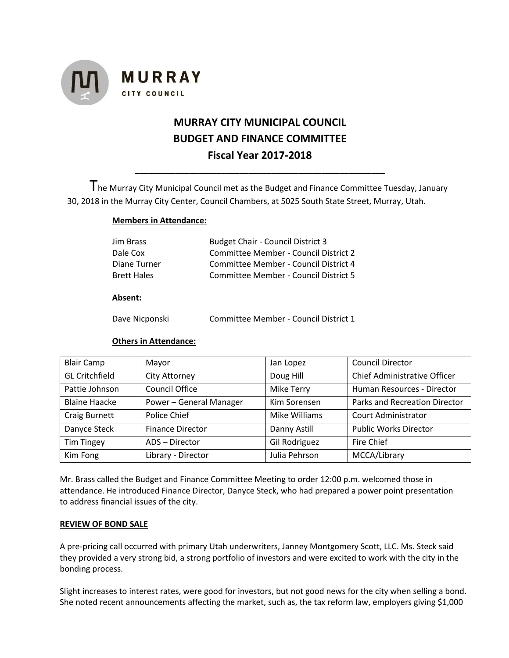

# **MURRAY CITY MUNICIPAL COUNCIL BUDGET AND FINANCE COMMITTEE Fiscal Year 2017-2018**

The Murray City Municipal Council met as the Budget and Finance Committee Tuesday, January 30, 2018 in the Murray City Center, Council Chambers, at 5025 South State Street, Murray, Utah.

**\_\_\_\_\_\_\_\_\_\_\_\_\_\_\_\_\_\_\_\_\_\_\_\_\_\_\_\_\_\_\_\_\_\_\_\_\_\_\_\_\_\_\_\_\_\_\_\_\_\_\_\_\_\_\_**

# **Members in Attendance:**

| Jim Brass          | <b>Budget Chair - Council District 3</b> |
|--------------------|------------------------------------------|
| Dale Cox           | Committee Member - Council District 2    |
| Diane Turner       | Committee Member - Council District 4    |
| <b>Brett Hales</b> | Committee Member - Council District 5    |

# **Absent:**

Dave Nicponski Committee Member - Council District 1

# **Others in Attendance:**

| <b>Blair Camp</b>     | Mayor                   | Jan Lopez     | <b>Council Director</b>              |
|-----------------------|-------------------------|---------------|--------------------------------------|
| <b>GL Critchfield</b> | City Attorney           | Doug Hill     | Chief Administrative Officer         |
| Pattie Johnson        | <b>Council Office</b>   | Mike Terry    | Human Resources - Director           |
| <b>Blaine Haacke</b>  | Power - General Manager | Kim Sorensen  | <b>Parks and Recreation Director</b> |
| Craig Burnett         | Police Chief            | Mike Williams | <b>Court Administrator</b>           |
| Danyce Steck          | <b>Finance Director</b> | Danny Astill  | <b>Public Works Director</b>         |
| <b>Tim Tingey</b>     | ADS - Director          | Gil Rodriguez | Fire Chief                           |
| Kim Fong              | Library - Director      | Julia Pehrson | MCCA/Library                         |

Mr. Brass called the Budget and Finance Committee Meeting to order 12:00 p.m. welcomed those in attendance. He introduced Finance Director, Danyce Steck, who had prepared a power point presentation to address financial issues of the city.

# **REVIEW OF BOND SALE**

A pre-pricing call occurred with primary Utah underwriters, Janney Montgomery Scott, LLC. Ms. Steck said they provided a very strong bid, a strong portfolio of investors and were excited to work with the city in the bonding process.

Slight increases to interest rates, were good for investors, but not good news for the city when selling a bond. She noted recent announcements affecting the market, such as, the tax reform law, employers giving \$1,000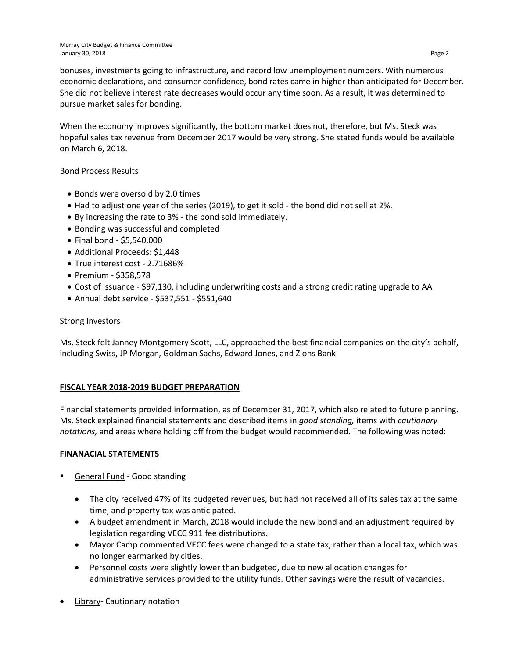bonuses, investments going to infrastructure, and record low unemployment numbers. With numerous economic declarations, and consumer confidence, bond rates came in higher than anticipated for December. She did not believe interest rate decreases would occur any time soon. As a result, it was determined to pursue market sales for bonding.

When the economy improves significantly, the bottom market does not, therefore, but Ms. Steck was hopeful sales tax revenue from December 2017 would be very strong. She stated funds would be available on March 6, 2018.

# Bond Process Results

- Bonds were oversold by 2.0 times
- Had to adjust one year of the series (2019), to get it sold the bond did not sell at 2%.
- By increasing the rate to 3% the bond sold immediately.
- Bonding was successful and completed
- Final bond \$5,540,000
- Additional Proceeds: \$1,448
- True interest cost 2.71686%
- Premium \$358,578
- Cost of issuance \$97,130, including underwriting costs and a strong credit rating upgrade to AA
- Annual debt service \$537,551 \$551,640

#### **Strong Investors**

Ms. Steck felt Janney Montgomery Scott, LLC, approached the best financial companies on the city's behalf, including Swiss, JP Morgan, Goldman Sachs, Edward Jones, and Zions Bank

# **FISCAL YEAR 2018-2019 BUDGET PREPARATION**

Financial statements provided information, as of December 31, 2017, which also related to future planning. Ms. Steck explained financial statements and described items in *good standing,* items with *cautionary notations,* and areas where holding off from the budget would recommended. The following was noted:

# **FINANACIAL STATEMENTS**

- General Fund Good standing
	- The city received 47% of its budgeted revenues, but had not received all of its sales tax at the same time, and property tax was anticipated.
	- A budget amendment in March, 2018 would include the new bond and an adjustment required by legislation regarding VECC 911 fee distributions.
	- Mayor Camp commented VECC fees were changed to a state tax, rather than a local tax, which was no longer earmarked by cities.
	- Personnel costs were slightly lower than budgeted, due to new allocation changes for administrative services provided to the utility funds. Other savings were the result of vacancies.
- **Library- Cautionary notation**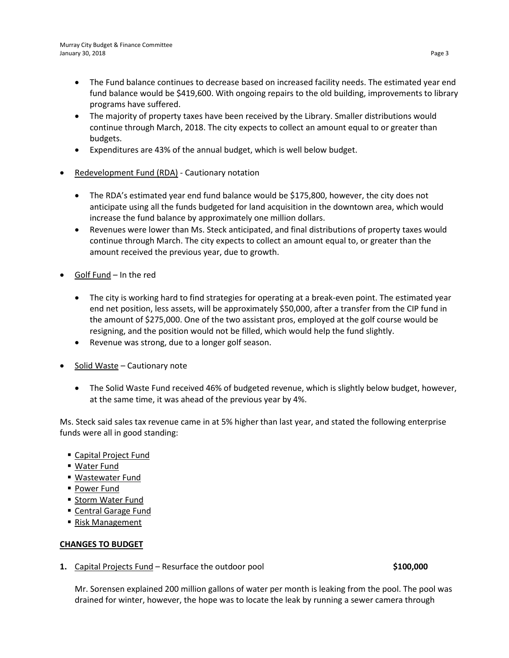- The Fund balance continues to decrease based on increased facility needs. The estimated year end fund balance would be \$419,600. With ongoing repairs to the old building, improvements to library programs have suffered.
- The majority of property taxes have been received by the Library. Smaller distributions would continue through March, 2018. The city expects to collect an amount equal to or greater than budgets.
- Expenditures are 43% of the annual budget, which is well below budget.
- Redevelopment Fund (RDA) Cautionary notation
	- The RDA's estimated year end fund balance would be \$175,800, however, the city does not anticipate using all the funds budgeted for land acquisition in the downtown area, which would increase the fund balance by approximately one million dollars.
	- Revenues were lower than Ms. Steck anticipated, and final distributions of property taxes would continue through March. The city expects to collect an amount equal to, or greater than the amount received the previous year, due to growth.
- Golf Fund In the red
	- The city is working hard to find strategies for operating at a break-even point. The estimated year end net position, less assets, will be approximately \$50,000, after a transfer from the CIP fund in the amount of \$275,000. One of the two assistant pros, employed at the golf course would be resigning, and the position would not be filled, which would help the fund slightly.
	- Revenue was strong, due to a longer golf season.
- Solid Waste Cautionary note
	- The Solid Waste Fund received 46% of budgeted revenue, which is slightly below budget, however, at the same time, it was ahead of the previous year by 4%.

Ms. Steck said sales tax revenue came in at 5% higher than last year, and stated the following enterprise funds were all in good standing:

- Capital Project Fund
- Water Fund
- Wastewater Fund
- **Power Fund**
- Storm Water Fund
- Central Garage Fund
- Risk Management

# **CHANGES TO BUDGET**

**1.** Capital Projects Fund – Resurface the outdoor pool **\$100,000** \$100,000

Mr. Sorensen explained 200 million gallons of water per month is leaking from the pool. The pool was drained for winter, however, the hope was to locate the leak by running a sewer camera through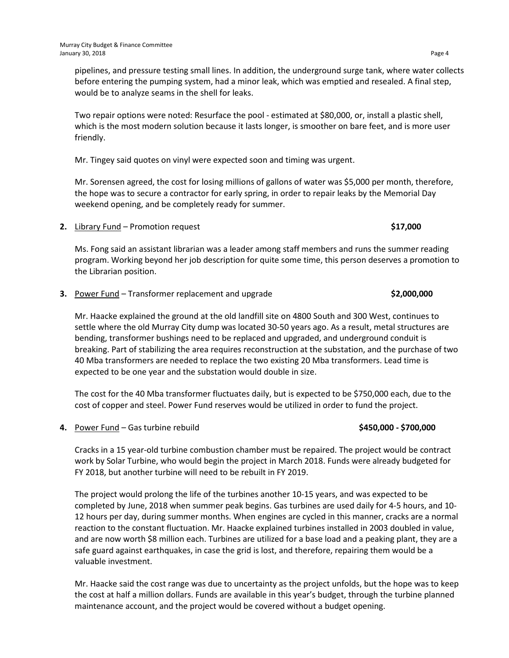pipelines, and pressure testing small lines. In addition, the underground surge tank, where water collects before entering the pumping system, had a minor leak, which was emptied and resealed. A final step, would be to analyze seams in the shell for leaks.

Two repair options were noted: Resurface the pool - estimated at \$80,000, or, install a plastic shell, which is the most modern solution because it lasts longer, is smoother on bare feet, and is more user friendly.

Mr. Tingey said quotes on vinyl were expected soon and timing was urgent.

Mr. Sorensen agreed, the cost for losing millions of gallons of water was \$5,000 per month, therefore, the hope was to secure a contractor for early spring, in order to repair leaks by the Memorial Day weekend opening, and be completely ready for summer.

**2.** Library Fund – Promotion request **\$17,000**

Ms. Fong said an assistant librarian was a leader among staff members and runs the summer reading program. Working beyond her job description for quite some time, this person deserves a promotion to the Librarian position.

**3.** Power Fund – Transformer replacement and upgrade **\$2,000,000**

Mr. Haacke explained the ground at the old landfill site on 4800 South and 300 West, continues to settle where the old Murray City dump was located 30-50 years ago. As a result, metal structures are bending, transformer bushings need to be replaced and upgraded, and underground conduit is breaking. Part of stabilizing the area requires reconstruction at the substation, and the purchase of two 40 Mba transformers are needed to replace the two existing 20 Mba transformers. Lead time is expected to be one year and the substation would double in size.

The cost for the 40 Mba transformer fluctuates daily, but is expected to be \$750,000 each, due to the cost of copper and steel. Power Fund reserves would be utilized in order to fund the project.

**4.** Power Fund – Gas turbine rebuild **\$450,000 - \$700,000**

Cracks in a 15 year-old turbine combustion chamber must be repaired. The project would be contract work by Solar Turbine, who would begin the project in March 2018. Funds were already budgeted for FY 2018, but another turbine will need to be rebuilt in FY 2019.

The project would prolong the life of the turbines another 10-15 years, and was expected to be completed by June, 2018 when summer peak begins. Gas turbines are used daily for 4-5 hours, and 10- 12 hours per day, during summer months. When engines are cycled in this manner, cracks are a normal reaction to the constant fluctuation. Mr. Haacke explained turbines installed in 2003 doubled in value, and are now worth \$8 million each. Turbines are utilized for a base load and a peaking plant, they are a safe guard against earthquakes, in case the grid is lost, and therefore, repairing them would be a valuable investment.

Mr. Haacke said the cost range was due to uncertainty as the project unfolds, but the hope was to keep the cost at half a million dollars. Funds are available in this year's budget, through the turbine planned maintenance account, and the project would be covered without a budget opening.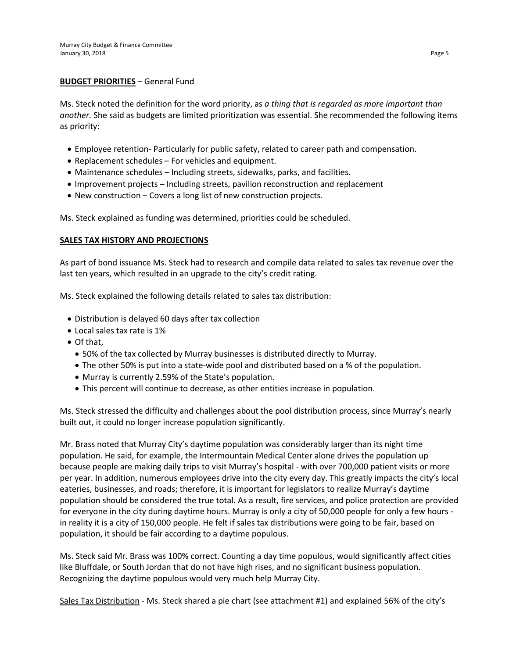#### **BUDGET PRIORITIES** – General Fund

Ms. Steck noted the definition for the word priority, as *a thing that is regarded as more important than another.* She said as budgets are limited prioritization was essential. She recommended the following items as priority:

- Employee retention- Particularly for public safety, related to career path and compensation.
- Replacement schedules For vehicles and equipment.
- Maintenance schedules Including streets, sidewalks, parks, and facilities.
- Improvement projects Including streets, pavilion reconstruction and replacement
- New construction Covers a long list of new construction projects.

Ms. Steck explained as funding was determined, priorities could be scheduled.

# **SALES TAX HISTORY AND PROJECTIONS**

As part of bond issuance Ms. Steck had to research and compile data related to sales tax revenue over the last ten years, which resulted in an upgrade to the city's credit rating.

Ms. Steck explained the following details related to sales tax distribution:

- Distribution is delayed 60 days after tax collection
- Local sales tax rate is 1%
- Of that,
	- 50% of the tax collected by Murray businesses is distributed directly to Murray.
	- The other 50% is put into a state-wide pool and distributed based on a % of the population.
	- Murray is currently 2.59% of the State's population.
	- This percent will continue to decrease, as other entities increase in population.

Ms. Steck stressed the difficulty and challenges about the pool distribution process, since Murray's nearly built out, it could no longer increase population significantly.

Mr. Brass noted that Murray City's daytime population was considerably larger than its night time population. He said, for example, the Intermountain Medical Center alone drives the population up because people are making daily trips to visit Murray's hospital - with over 700,000 patient visits or more per year. In addition, numerous employees drive into the city every day. This greatly impacts the city's local eateries, businesses, and roads; therefore, it is important for legislators to realize Murray's daytime population should be considered the true total. As a result, fire services, and police protection are provided for everyone in the city during daytime hours. Murray is only a city of 50,000 people for only a few hours in reality it is a city of 150,000 people. He felt if sales tax distributions were going to be fair, based on population, it should be fair according to a daytime populous.

Ms. Steck said Mr. Brass was 100% correct. Counting a day time populous, would significantly affect cities like Bluffdale, or South Jordan that do not have high rises, and no significant business population. Recognizing the daytime populous would very much help Murray City.

Sales Tax Distribution - Ms. Steck shared a pie chart (see attachment #1) and explained 56% of the city's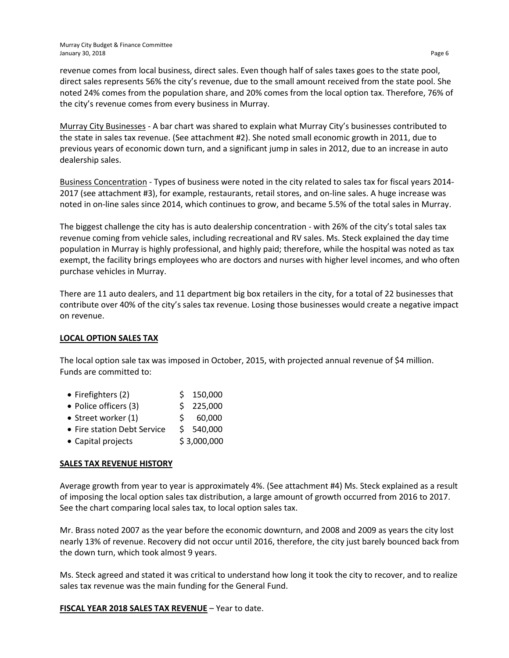revenue comes from local business, direct sales. Even though half of sales taxes goes to the state pool, direct sales represents 56% the city's revenue, due to the small amount received from the state pool. She noted 24% comes from the population share, and 20% comes from the local option tax. Therefore, 76% of the city's revenue comes from every business in Murray.

Murray City Businesses - A bar chart was shared to explain what Murray City's businesses contributed to the state in sales tax revenue. (See attachment #2). She noted small economic growth in 2011, due to previous years of economic down turn, and a significant jump in sales in 2012, due to an increase in auto dealership sales.

Business Concentration - Types of business were noted in the city related to sales tax for fiscal years 2014- 2017 (see attachment #3), for example, restaurants, retail stores, and on-line sales. A huge increase was noted in on-line sales since 2014, which continues to grow, and became 5.5% of the total sales in Murray.

The biggest challenge the city has is auto dealership concentration - with 26% of the city's total sales tax revenue coming from vehicle sales, including recreational and RV sales. Ms. Steck explained the day time population in Murray is highly professional, and highly paid; therefore, while the hospital was noted as tax exempt, the facility brings employees who are doctors and nurses with higher level incomes, and who often purchase vehicles in Murray.

There are 11 auto dealers, and 11 department big box retailers in the city, for a total of 22 businesses that contribute over 40% of the city's sales tax revenue. Losing those businesses would create a negative impact on revenue.

# **LOCAL OPTION SALES TAX**

The local option sale tax was imposed in October, 2015, with projected annual revenue of \$4 million. Funds are committed to:

- Firefighters (2) \$ 150,000
- Police officers (3)  $\qquad \qquad$  \$ 225,000
- Street worker  $(1)$   $\qquad$   $\qquad$   $\qquad$   $\qquad$   $\qquad$  60,000
- Fire station Debt Service \$ 540,000
- Capital projects  $$3,000,000$

# **SALES TAX REVENUE HISTORY**

Average growth from year to year is approximately 4%. (See attachment #4) Ms. Steck explained as a result of imposing the local option sales tax distribution, a large amount of growth occurred from 2016 to 2017. See the chart comparing local sales tax, to local option sales tax.

Mr. Brass noted 2007 as the year before the economic downturn, and 2008 and 2009 as years the city lost nearly 13% of revenue. Recovery did not occur until 2016, therefore, the city just barely bounced back from the down turn, which took almost 9 years.

Ms. Steck agreed and stated it was critical to understand how long it took the city to recover, and to realize sales tax revenue was the main funding for the General Fund.

**FISCAL YEAR 2018 SALES TAX REVENUE** – Year to date.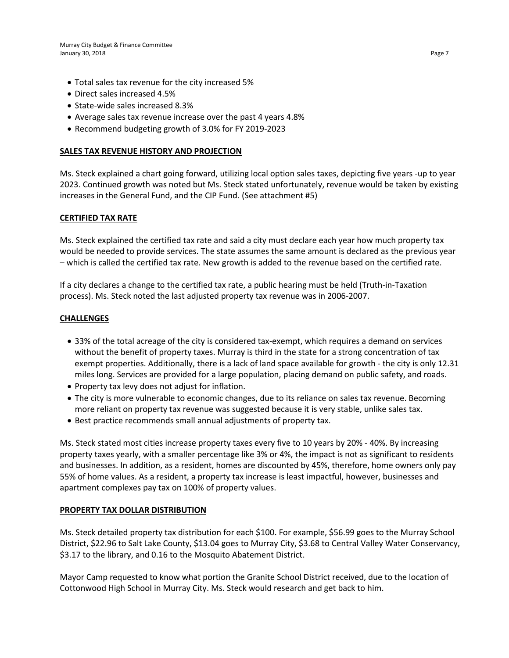- Total sales tax revenue for the city increased 5%
- Direct sales increased 4.5%
- State-wide sales increased 8.3%
- Average sales tax revenue increase over the past 4 years 4.8%
- Recommend budgeting growth of 3.0% for FY 2019-2023

#### **SALES TAX REVENUE HISTORY AND PROJECTION**

Ms. Steck explained a chart going forward, utilizing local option sales taxes, depicting five years -up to year 2023. Continued growth was noted but Ms. Steck stated unfortunately, revenue would be taken by existing increases in the General Fund, and the CIP Fund. (See attachment #5)

#### **CERTIFIED TAX RATE**

Ms. Steck explained the certified tax rate and said a city must declare each year how much property tax would be needed to provide services. The state assumes the same amount is declared as the previous year – which is called the certified tax rate. New growth is added to the revenue based on the certified rate.

If a city declares a change to the certified tax rate, a public hearing must be held (Truth-in-Taxation process). Ms. Steck noted the last adjusted property tax revenue was in 2006-2007.

#### **CHALLENGES**

- 33% of the total acreage of the city is considered tax-exempt, which requires a demand on services without the benefit of property taxes. Murray is third in the state for a strong concentration of tax exempt properties. Additionally, there is a lack of land space available for growth - the city is only 12.31 miles long. Services are provided for a large population, placing demand on public safety, and roads.
- Property tax levy does not adjust for inflation.
- The city is more vulnerable to economic changes, due to its reliance on sales tax revenue. Becoming more reliant on property tax revenue was suggested because it is very stable, unlike sales tax.
- Best practice recommends small annual adjustments of property tax.

Ms. Steck stated most cities increase property taxes every five to 10 years by 20% - 40%. By increasing property taxes yearly, with a smaller percentage like 3% or 4%, the impact is not as significant to residents and businesses. In addition, as a resident, homes are discounted by 45%, therefore, home owners only pay 55% of home values. As a resident, a property tax increase is least impactful, however, businesses and apartment complexes pay tax on 100% of property values.

# **PROPERTY TAX DOLLAR DISTRIBUTION**

Ms. Steck detailed property tax distribution for each \$100. For example, \$56.99 goes to the Murray School District, \$22.96 to Salt Lake County, \$13.04 goes to Murray City, \$3.68 to Central Valley Water Conservancy, \$3.17 to the library, and 0.16 to the Mosquito Abatement District.

Mayor Camp requested to know what portion the Granite School District received, due to the location of Cottonwood High School in Murray City. Ms. Steck would research and get back to him.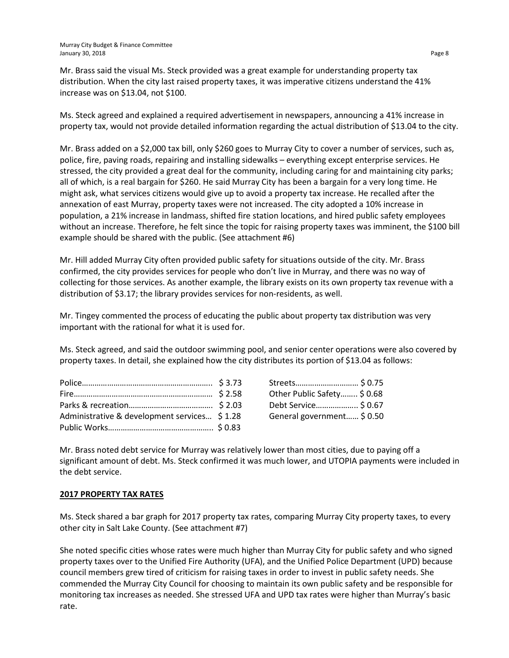Mr. Brass said the visual Ms. Steck provided was a great example for understanding property tax distribution. When the city last raised property taxes, it was imperative citizens understand the 41% increase was on \$13.04, not \$100.

Ms. Steck agreed and explained a required advertisement in newspapers, announcing a 41% increase in property tax, would not provide detailed information regarding the actual distribution of \$13.04 to the city.

Mr. Brass added on a \$2,000 tax bill, only \$260 goes to Murray City to cover a number of services, such as, police, fire, paving roads, repairing and installing sidewalks – everything except enterprise services. He stressed, the city provided a great deal for the community, including caring for and maintaining city parks; all of which, is a real bargain for \$260. He said Murray City has been a bargain for a very long time. He might ask, what services citizens would give up to avoid a property tax increase. He recalled after the annexation of east Murray, property taxes were not increased. The city adopted a 10% increase in population, a 21% increase in landmass, shifted fire station locations, and hired public safety employees without an increase. Therefore, he felt since the topic for raising property taxes was imminent, the \$100 bill example should be shared with the public. (See attachment #6)

Mr. Hill added Murray City often provided public safety for situations outside of the city. Mr. Brass confirmed, the city provides services for people who don't live in Murray, and there was no way of collecting for those services. As another example, the library exists on its own property tax revenue with a distribution of \$3.17; the library provides services for non-residents, as well.

Mr. Tingey commented the process of educating the public about property tax distribution was very important with the rational for what it is used for.

Ms. Steck agreed, and said the outdoor swimming pool, and senior center operations were also covered by property taxes. In detail, she explained how the city distributes its portion of \$13.04 as follows:

|                                              | Streets \$ 0.75             |  |
|----------------------------------------------|-----------------------------|--|
|                                              | Other Public Safety \$ 0.68 |  |
|                                              | Debt Service \$ 0.67        |  |
| Administrative & development services \$1.28 | General government \$ 0.50  |  |

| Streets \$ 0.75             |  |
|-----------------------------|--|
| Other Public Safety \$ 0.68 |  |
| Debt Service \$ 0.67        |  |
| General government \$ 0.50  |  |
|                             |  |

Mr. Brass noted debt service for Murray was relatively lower than most cities, due to paying off a significant amount of debt. Ms. Steck confirmed it was much lower, and UTOPIA payments were included in the debt service.

# **2017 PROPERTY TAX RATES**

Ms. Steck shared a bar graph for 2017 property tax rates, comparing Murray City property taxes, to every other city in Salt Lake County. (See attachment #7)

She noted specific cities whose rates were much higher than Murray City for public safety and who signed property taxes over to the Unified Fire Authority (UFA), and the Unified Police Department (UPD) because council members grew tired of criticism for raising taxes in order to invest in public safety needs. She commended the Murray City Council for choosing to maintain its own public safety and be responsible for monitoring tax increases as needed. She stressed UFA and UPD tax rates were higher than Murray's basic rate.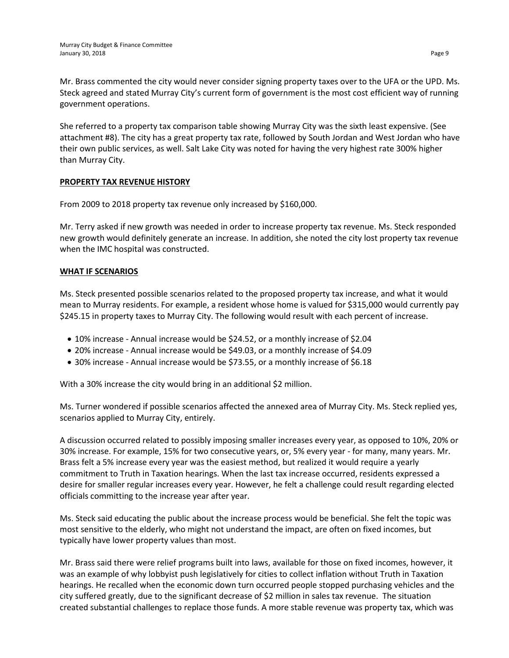Mr. Brass commented the city would never consider signing property taxes over to the UFA or the UPD. Ms. Steck agreed and stated Murray City's current form of government is the most cost efficient way of running government operations.

She referred to a property tax comparison table showing Murray City was the sixth least expensive. (See attachment #8). The city has a great property tax rate, followed by South Jordan and West Jordan who have their own public services, as well. Salt Lake City was noted for having the very highest rate 300% higher than Murray City.

# **PROPERTY TAX REVENUE HISTORY**

From 2009 to 2018 property tax revenue only increased by \$160,000.

Mr. Terry asked if new growth was needed in order to increase property tax revenue. Ms. Steck responded new growth would definitely generate an increase. In addition, she noted the city lost property tax revenue when the IMC hospital was constructed.

# **WHAT IF SCENARIOS**

Ms. Steck presented possible scenarios related to the proposed property tax increase, and what it would mean to Murray residents. For example, a resident whose home is valued for \$315,000 would currently pay \$245.15 in property taxes to Murray City. The following would result with each percent of increase.

- 10% increase Annual increase would be \$24.52, or a monthly increase of \$2.04
- 20% increase Annual increase would be \$49.03, or a monthly increase of \$4.09
- 30% increase Annual increase would be \$73.55, or a monthly increase of \$6.18

With a 30% increase the city would bring in an additional \$2 million.

Ms. Turner wondered if possible scenarios affected the annexed area of Murray City. Ms. Steck replied yes, scenarios applied to Murray City, entirely.

A discussion occurred related to possibly imposing smaller increases every year, as opposed to 10%, 20% or 30% increase. For example, 15% for two consecutive years, or, 5% every year - for many, many years. Mr. Brass felt a 5% increase every year was the easiest method, but realized it would require a yearly commitment to Truth in Taxation hearings. When the last tax increase occurred, residents expressed a desire for smaller regular increases every year. However, he felt a challenge could result regarding elected officials committing to the increase year after year.

Ms. Steck said educating the public about the increase process would be beneficial. She felt the topic was most sensitive to the elderly, who might not understand the impact, are often on fixed incomes, but typically have lower property values than most.

Mr. Brass said there were relief programs built into laws, available for those on fixed incomes, however, it was an example of why lobbyist push legislatively for cities to collect inflation without Truth in Taxation hearings. He recalled when the economic down turn occurred people stopped purchasing vehicles and the city suffered greatly, due to the significant decrease of \$2 million in sales tax revenue. The situation created substantial challenges to replace those funds. A more stable revenue was property tax, which was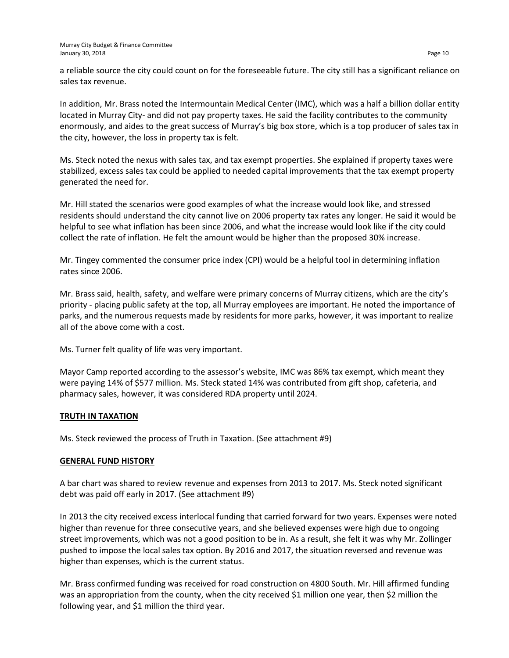a reliable source the city could count on for the foreseeable future. The city still has a significant reliance on sales tax revenue.

In addition, Mr. Brass noted the Intermountain Medical Center (IMC), which was a half a billion dollar entity located in Murray City- and did not pay property taxes. He said the facility contributes to the community enormously, and aides to the great success of Murray's big box store, which is a top producer of sales tax in the city, however, the loss in property tax is felt.

Ms. Steck noted the nexus with sales tax, and tax exempt properties. She explained if property taxes were stabilized, excess sales tax could be applied to needed capital improvements that the tax exempt property generated the need for.

Mr. Hill stated the scenarios were good examples of what the increase would look like, and stressed residents should understand the city cannot live on 2006 property tax rates any longer. He said it would be helpful to see what inflation has been since 2006, and what the increase would look like if the city could collect the rate of inflation. He felt the amount would be higher than the proposed 30% increase.

Mr. Tingey commented the consumer price index (CPI) would be a helpful tool in determining inflation rates since 2006.

Mr. Brass said, health, safety, and welfare were primary concerns of Murray citizens, which are the city's priority - placing public safety at the top, all Murray employees are important. He noted the importance of parks, and the numerous requests made by residents for more parks, however, it was important to realize all of the above come with a cost.

Ms. Turner felt quality of life was very important.

Mayor Camp reported according to the assessor's website, IMC was 86% tax exempt, which meant they were paying 14% of \$577 million. Ms. Steck stated 14% was contributed from gift shop, cafeteria, and pharmacy sales, however, it was considered RDA property until 2024.

# **TRUTH IN TAXATION**

Ms. Steck reviewed the process of Truth in Taxation. (See attachment #9)

# **GENERAL FUND HISTORY**

A bar chart was shared to review revenue and expenses from 2013 to 2017. Ms. Steck noted significant debt was paid off early in 2017. (See attachment #9)

In 2013 the city received excess interlocal funding that carried forward for two years. Expenses were noted higher than revenue for three consecutive years, and she believed expenses were high due to ongoing street improvements, which was not a good position to be in. As a result, she felt it was why Mr. Zollinger pushed to impose the local sales tax option. By 2016 and 2017, the situation reversed and revenue was higher than expenses, which is the current status.

Mr. Brass confirmed funding was received for road construction on 4800 South. Mr. Hill affirmed funding was an appropriation from the county, when the city received \$1 million one year, then \$2 million the following year, and \$1 million the third year.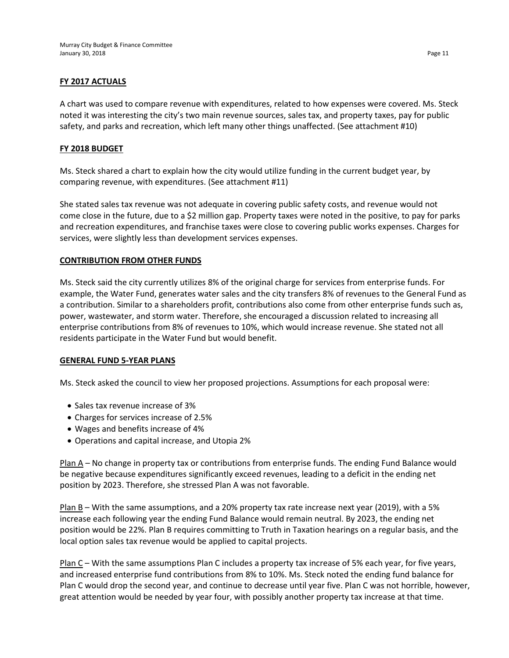# **FY 2017 ACTUALS**

A chart was used to compare revenue with expenditures, related to how expenses were covered. Ms. Steck noted it was interesting the city's two main revenue sources, sales tax, and property taxes, pay for public safety, and parks and recreation, which left many other things unaffected. (See attachment #10)

# **FY 2018 BUDGET**

Ms. Steck shared a chart to explain how the city would utilize funding in the current budget year, by comparing revenue, with expenditures. (See attachment #11)

She stated sales tax revenue was not adequate in covering public safety costs, and revenue would not come close in the future, due to a \$2 million gap. Property taxes were noted in the positive, to pay for parks and recreation expenditures, and franchise taxes were close to covering public works expenses. Charges for services, were slightly less than development services expenses.

# **CONTRIBUTION FROM OTHER FUNDS**

Ms. Steck said the city currently utilizes 8% of the original charge for services from enterprise funds. For example, the Water Fund, generates water sales and the city transfers 8% of revenues to the General Fund as a contribution. Similar to a shareholders profit, contributions also come from other enterprise funds such as, power, wastewater, and storm water. Therefore, she encouraged a discussion related to increasing all enterprise contributions from 8% of revenues to 10%, which would increase revenue. She stated not all residents participate in the Water Fund but would benefit.

#### **GENERAL FUND 5-YEAR PLANS**

Ms. Steck asked the council to view her proposed projections. Assumptions for each proposal were:

- Sales tax revenue increase of 3%
- Charges for services increase of 2.5%
- Wages and benefits increase of 4%
- Operations and capital increase, and Utopia 2%

Plan A – No change in property tax or contributions from enterprise funds. The ending Fund Balance would be negative because expenditures significantly exceed revenues, leading to a deficit in the ending net position by 2023. Therefore, she stressed Plan A was not favorable.

Plan B – With the same assumptions, and a 20% property tax rate increase next year (2019), with a 5% increase each following year the ending Fund Balance would remain neutral. By 2023, the ending net position would be 22%. Plan B requires committing to Truth in Taxation hearings on a regular basis, and the local option sales tax revenue would be applied to capital projects.

Plan C – With the same assumptions Plan C includes a property tax increase of 5% each year, for five years, and increased enterprise fund contributions from 8% to 10%. Ms. Steck noted the ending fund balance for Plan C would drop the second year, and continue to decrease until year five. Plan C was not horrible, however, great attention would be needed by year four, with possibly another property tax increase at that time.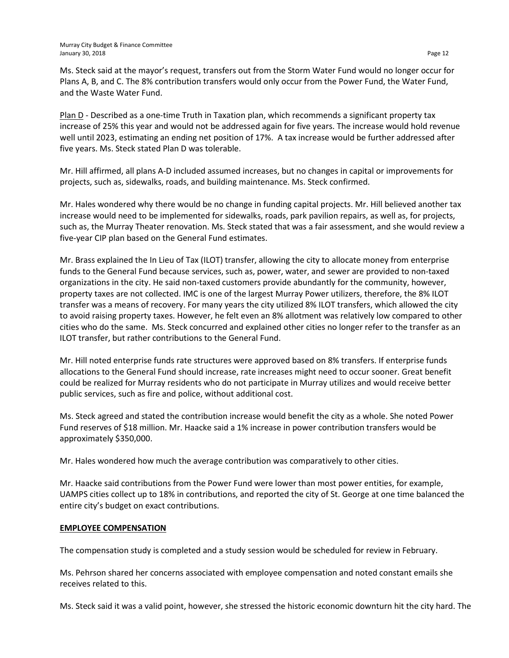Ms. Steck said at the mayor's request, transfers out from the Storm Water Fund would no longer occur for Plans A, B, and C. The 8% contribution transfers would only occur from the Power Fund, the Water Fund, and the Waste Water Fund.

Plan D - Described as a one-time Truth in Taxation plan, which recommends a significant property tax increase of 25% this year and would not be addressed again for five years. The increase would hold revenue well until 2023, estimating an ending net position of 17%. A tax increase would be further addressed after five years. Ms. Steck stated Plan D was tolerable.

Mr. Hill affirmed, all plans A-D included assumed increases, but no changes in capital or improvements for projects, such as, sidewalks, roads, and building maintenance. Ms. Steck confirmed.

Mr. Hales wondered why there would be no change in funding capital projects. Mr. Hill believed another tax increase would need to be implemented for sidewalks, roads, park pavilion repairs, as well as, for projects, such as, the Murray Theater renovation. Ms. Steck stated that was a fair assessment, and she would review a five-year CIP plan based on the General Fund estimates.

Mr. Brass explained the In Lieu of Tax (ILOT) transfer, allowing the city to allocate money from enterprise funds to the General Fund because services, such as, power, water, and sewer are provided to non-taxed organizations in the city. He said non-taxed customers provide abundantly for the community, however, property taxes are not collected. IMC is one of the largest Murray Power utilizers, therefore, the 8% ILOT transfer was a means of recovery. For many years the city utilized 8% ILOT transfers, which allowed the city to avoid raising property taxes. However, he felt even an 8% allotment was relatively low compared to other cities who do the same. Ms. Steck concurred and explained other cities no longer refer to the transfer as an ILOT transfer, but rather contributions to the General Fund.

Mr. Hill noted enterprise funds rate structures were approved based on 8% transfers. If enterprise funds allocations to the General Fund should increase, rate increases might need to occur sooner. Great benefit could be realized for Murray residents who do not participate in Murray utilizes and would receive better public services, such as fire and police, without additional cost.

Ms. Steck agreed and stated the contribution increase would benefit the city as a whole. She noted Power Fund reserves of \$18 million. Mr. Haacke said a 1% increase in power contribution transfers would be approximately \$350,000.

Mr. Hales wondered how much the average contribution was comparatively to other cities.

Mr. Haacke said contributions from the Power Fund were lower than most power entities, for example, UAMPS cities collect up to 18% in contributions, and reported the city of St. George at one time balanced the entire city's budget on exact contributions.

# **EMPLOYEE COMPENSATION**

The compensation study is completed and a study session would be scheduled for review in February.

Ms. Pehrson shared her concerns associated with employee compensation and noted constant emails she receives related to this.

Ms. Steck said it was a valid point, however, she stressed the historic economic downturn hit the city hard. The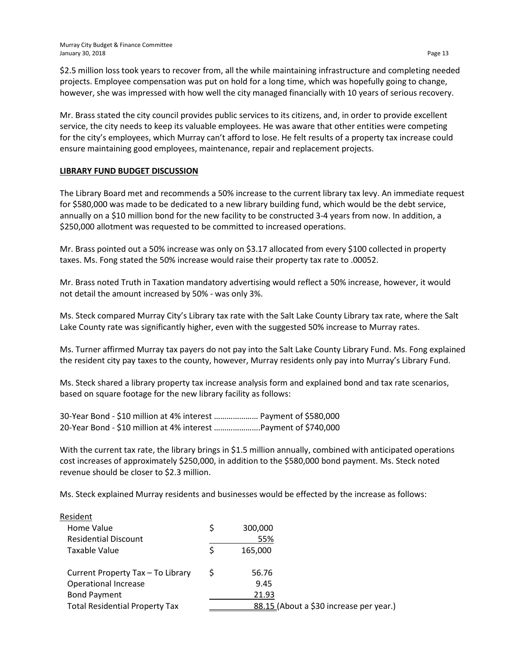\$2.5 million loss took years to recover from, all the while maintaining infrastructure and completing needed projects. Employee compensation was put on hold for a long time, which was hopefully going to change, however, she was impressed with how well the city managed financially with 10 years of serious recovery.

Mr. Brass stated the city council provides public services to its citizens, and, in order to provide excellent service, the city needs to keep its valuable employees. He was aware that other entities were competing for the city's employees, which Murray can't afford to lose. He felt results of a property tax increase could ensure maintaining good employees, maintenance, repair and replacement projects.

#### **LIBRARY FUND BUDGET DISCUSSION**

The Library Board met and recommends a 50% increase to the current library tax levy. An immediate request for \$580,000 was made to be dedicated to a new library building fund, which would be the debt service, annually on a \$10 million bond for the new facility to be constructed 3-4 years from now. In addition, a \$250,000 allotment was requested to be committed to increased operations.

Mr. Brass pointed out a 50% increase was only on \$3.17 allocated from every \$100 collected in property taxes. Ms. Fong stated the 50% increase would raise their property tax rate to .00052.

Mr. Brass noted Truth in Taxation mandatory advertising would reflect a 50% increase, however, it would not detail the amount increased by 50% - was only 3%.

Ms. Steck compared Murray City's Library tax rate with the Salt Lake County Library tax rate, where the Salt Lake County rate was significantly higher, even with the suggested 50% increase to Murray rates.

Ms. Turner affirmed Murray tax payers do not pay into the Salt Lake County Library Fund. Ms. Fong explained the resident city pay taxes to the county, however, Murray residents only pay into Murray's Library Fund.

Ms. Steck shared a library property tax increase analysis form and explained bond and tax rate scenarios, based on square footage for the new library facility as follows:

| 30-Year Bond - \$10 million at 4% interest  Payment of \$580,000 |  |
|------------------------------------------------------------------|--|
| 20-Year Bond - \$10 million at 4% interest  Payment of \$740,000 |  |

With the current tax rate, the library brings in \$1.5 million annually, combined with anticipated operations cost increases of approximately \$250,000, in addition to the \$580,000 bond payment. Ms. Steck noted revenue should be closer to \$2.3 million.

Ms. Steck explained Murray residents and businesses would be effected by the increase as follows:

| Resident                              |   |                                         |
|---------------------------------------|---|-----------------------------------------|
| Home Value                            | Ś | 300,000                                 |
| <b>Residential Discount</b>           |   | 55%                                     |
| Taxable Value                         |   | 165,000                                 |
| Current Property Tax - To Library     |   | 56.76                                   |
| Operational Increase                  |   | 9.45                                    |
| <b>Bond Payment</b>                   |   | 21.93                                   |
| <b>Total Residential Property Tax</b> |   | 88.15 (About a \$30 increase per year.) |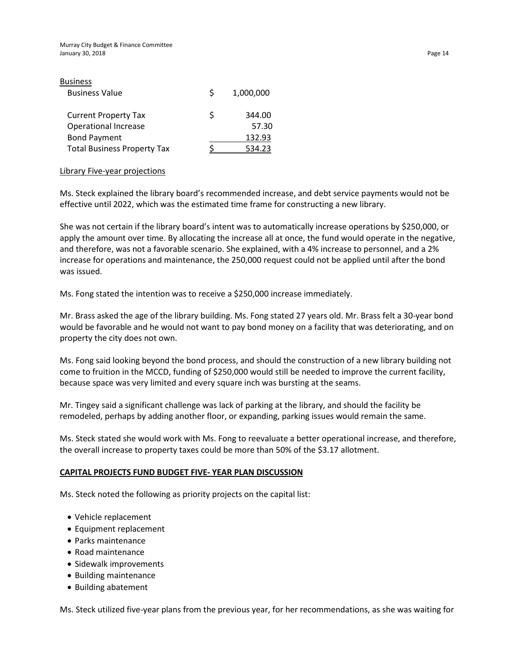| <b>Business</b>                    |   |           |
|------------------------------------|---|-----------|
| <b>Business Value</b>              | S | 1,000,000 |
| <b>Current Property Tax</b>        | ς | 344.00    |
| <b>Operational Increase</b>        |   | 57.30     |
| <b>Bond Payment</b>                |   | 132.93    |
| <b>Total Business Property Tax</b> |   |           |

#### Library Five-year projections

Ms. Steck explained the library board's recommended increase, and debt service payments would not be effective until 2022, which was the estimated time frame for constructing a new library.

She was not certain if the library board's intent was to automatically increase operations by \$250,000, or apply the amount over time. By allocating the increase all at once, the fund would operate in the negative, and therefore, was not a favorable scenario. She explained, with a 4% increase to personnel, and a 2% increase for operations and maintenance, the 250,000 request could not be applied until after the bond was issued.

Ms. Fong stated the intention was to receive a \$250,000 increase immediately.

Mr. Brass asked the age of the library building. Ms. Fong stated 27 years old. Mr. Brass felt a 30-year bond would be favorable and he would not want to pay bond money on a facility that was deteriorating, and on property the city does not own.

Ms. Fong said looking beyond the bond process, and should the construction of a new library building not come to fruition in the MCCD, funding of \$250,000 would still be needed to improve the current facility, because space was very limited and every square inch was bursting at the seams.

Mr. Tingey said a significant challenge was lack of parking at the library, and should the facility be remodeled, perhaps by adding another floor, or expanding, parking issues would remain the same.

Ms. Steck stated she would work with Ms. Fong to reevaluate a better operational increase, and therefore, the overall increase to property taxes could be more than 50% of the \$3.17 allotment.

#### **CAPITAL PROJECTS FUND BUDGET FIVE- YEAR PLAN DISCUSSION**

Ms. Steck noted the following as priority projects on the capital list:

- Vehicle replacement
- Equipment replacement
- Parks maintenance
- Road maintenance
- Sidewalk improvements
- Building maintenance
- Building abatement

Ms. Steck utilized five-year plans from the previous year, for her recommendations, as she was waiting for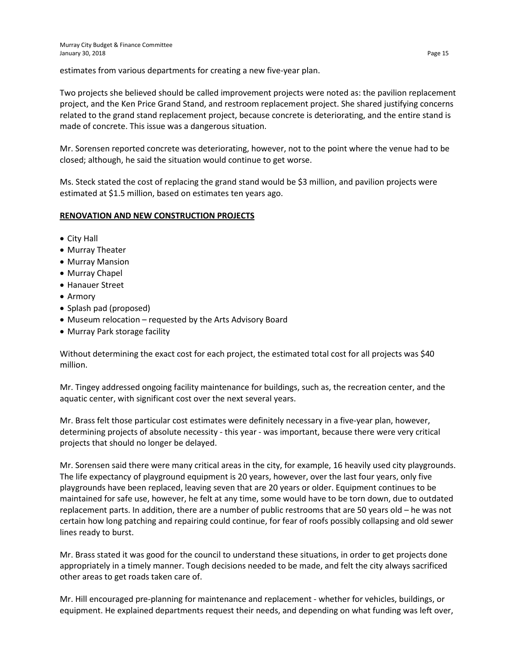estimates from various departments for creating a new five-year plan.

Two projects she believed should be called improvement projects were noted as: the pavilion replacement project, and the Ken Price Grand Stand, and restroom replacement project. She shared justifying concerns related to the grand stand replacement project, because concrete is deteriorating, and the entire stand is made of concrete. This issue was a dangerous situation.

Mr. Sorensen reported concrete was deteriorating, however, not to the point where the venue had to be closed; although, he said the situation would continue to get worse.

Ms. Steck stated the cost of replacing the grand stand would be \$3 million, and pavilion projects were estimated at \$1.5 million, based on estimates ten years ago.

#### **RENOVATION AND NEW CONSTRUCTION PROJECTS**

- City Hall
- Murray Theater
- Murray Mansion
- Murray Chapel
- Hanauer Street
- Armory
- Splash pad (proposed)
- Museum relocation requested by the Arts Advisory Board
- Murray Park storage facility

Without determining the exact cost for each project, the estimated total cost for all projects was \$40 million.

Mr. Tingey addressed ongoing facility maintenance for buildings, such as, the recreation center, and the aquatic center, with significant cost over the next several years.

Mr. Brass felt those particular cost estimates were definitely necessary in a five-year plan, however, determining projects of absolute necessity - this year - was important, because there were very critical projects that should no longer be delayed.

Mr. Sorensen said there were many critical areas in the city, for example, 16 heavily used city playgrounds. The life expectancy of playground equipment is 20 years, however, over the last four years, only five playgrounds have been replaced, leaving seven that are 20 years or older. Equipment continues to be maintained for safe use, however, he felt at any time, some would have to be torn down, due to outdated replacement parts. In addition, there are a number of public restrooms that are 50 years old – he was not certain how long patching and repairing could continue, for fear of roofs possibly collapsing and old sewer lines ready to burst.

Mr. Brass stated it was good for the council to understand these situations, in order to get projects done appropriately in a timely manner. Tough decisions needed to be made, and felt the city always sacrificed other areas to get roads taken care of.

Mr. Hill encouraged pre-planning for maintenance and replacement - whether for vehicles, buildings, or equipment. He explained departments request their needs, and depending on what funding was left over,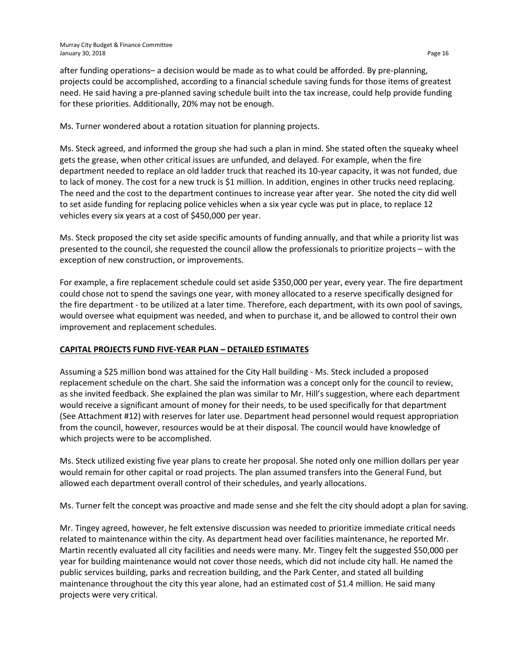after funding operations– a decision would be made as to what could be afforded. By pre-planning, projects could be accomplished, according to a financial schedule saving funds for those items of greatest need. He said having a pre-planned saving schedule built into the tax increase, could help provide funding for these priorities. Additionally, 20% may not be enough.

Ms. Turner wondered about a rotation situation for planning projects.

Ms. Steck agreed, and informed the group she had such a plan in mind. She stated often the squeaky wheel gets the grease, when other critical issues are unfunded, and delayed. For example, when the fire department needed to replace an old ladder truck that reached its 10-year capacity, it was not funded, due to lack of money. The cost for a new truck is \$1 million. In addition, engines in other trucks need replacing. The need and the cost to the department continues to increase year after year. She noted the city did well to set aside funding for replacing police vehicles when a six year cycle was put in place, to replace 12 vehicles every six years at a cost of \$450,000 per year.

Ms. Steck proposed the city set aside specific amounts of funding annually, and that while a priority list was presented to the council, she requested the council allow the professionals to prioritize projects – with the exception of new construction, or improvements.

For example, a fire replacement schedule could set aside \$350,000 per year, every year. The fire department could chose not to spend the savings one year, with money allocated to a reserve specifically designed for the fire department - to be utilized at a later time. Therefore, each department, with its own pool of savings, would oversee what equipment was needed, and when to purchase it, and be allowed to control their own improvement and replacement schedules.

# **CAPITAL PROJECTS FUND FIVE-YEAR PLAN – DETAILED ESTIMATES**

Assuming a \$25 million bond was attained for the City Hall building - Ms. Steck included a proposed replacement schedule on the chart. She said the information was a concept only for the council to review, as she invited feedback. She explained the plan was similar to Mr. Hill's suggestion, where each department would receive a significant amount of money for their needs, to be used specifically for that department (See Attachment #12) with reserves for later use. Department head personnel would request appropriation from the council, however, resources would be at their disposal. The council would have knowledge of which projects were to be accomplished.

Ms. Steck utilized existing five year plans to create her proposal. She noted only one million dollars per year would remain for other capital or road projects. The plan assumed transfers into the General Fund, but allowed each department overall control of their schedules, and yearly allocations.

Ms. Turner felt the concept was proactive and made sense and she felt the city should adopt a plan for saving.

Mr. Tingey agreed, however, he felt extensive discussion was needed to prioritize immediate critical needs related to maintenance within the city. As department head over facilities maintenance, he reported Mr. Martin recently evaluated all city facilities and needs were many. Mr. Tingey felt the suggested \$50,000 per year for building maintenance would not cover those needs, which did not include city hall. He named the public services building, parks and recreation building, and the Park Center, and stated all building maintenance throughout the city this year alone, had an estimated cost of \$1.4 million. He said many projects were very critical.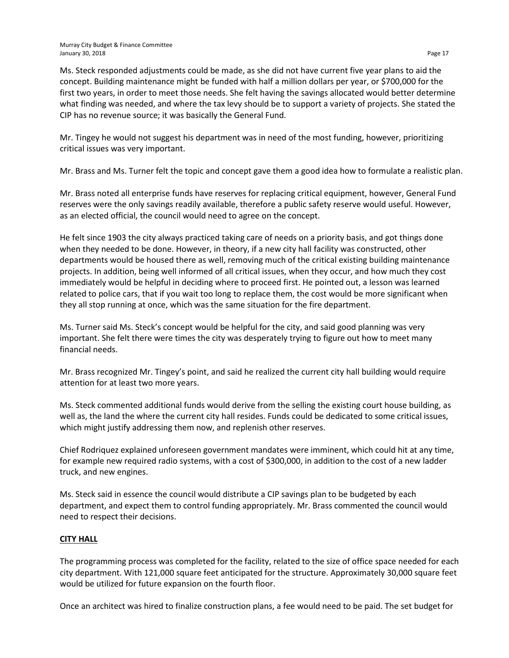Ms. Steck responded adjustments could be made, as she did not have current five year plans to aid the concept. Building maintenance might be funded with half a million dollars per year, or \$700,000 for the first two years, in order to meet those needs. She felt having the savings allocated would better determine what finding was needed, and where the tax levy should be to support a variety of projects. She stated the CIP has no revenue source; it was basically the General Fund.

Mr. Tingey he would not suggest his department was in need of the most funding, however, prioritizing critical issues was very important.

Mr. Brass and Ms. Turner felt the topic and concept gave them a good idea how to formulate a realistic plan.

Mr. Brass noted all enterprise funds have reserves for replacing critical equipment, however, General Fund reserves were the only savings readily available, therefore a public safety reserve would useful. However, as an elected official, the council would need to agree on the concept.

He felt since 1903 the city always practiced taking care of needs on a priority basis, and got things done when they needed to be done. However, in theory, if a new city hall facility was constructed, other departments would be housed there as well, removing much of the critical existing building maintenance projects. In addition, being well informed of all critical issues, when they occur, and how much they cost immediately would be helpful in deciding where to proceed first. He pointed out, a lesson was learned related to police cars, that if you wait too long to replace them, the cost would be more significant when they all stop running at once, which was the same situation for the fire department.

Ms. Turner said Ms. Steck's concept would be helpful for the city, and said good planning was very important. She felt there were times the city was desperately trying to figure out how to meet many financial needs.

Mr. Brass recognized Mr. Tingey's point, and said he realized the current city hall building would require attention for at least two more years.

Ms. Steck commented additional funds would derive from the selling the existing court house building, as well as, the land the where the current city hall resides. Funds could be dedicated to some critical issues, which might justify addressing them now, and replenish other reserves.

Chief Rodriquez explained unforeseen government mandates were imminent, which could hit at any time, for example new required radio systems, with a cost of \$300,000, in addition to the cost of a new ladder truck, and new engines.

Ms. Steck said in essence the council would distribute a CIP savings plan to be budgeted by each department, and expect them to control funding appropriately. Mr. Brass commented the council would need to respect their decisions.

# **CITY HALL**

The programming process was completed for the facility, related to the size of office space needed for each city department. With 121,000 square feet anticipated for the structure. Approximately 30,000 square feet would be utilized for future expansion on the fourth floor.

Once an architect was hired to finalize construction plans, a fee would need to be paid. The set budget for